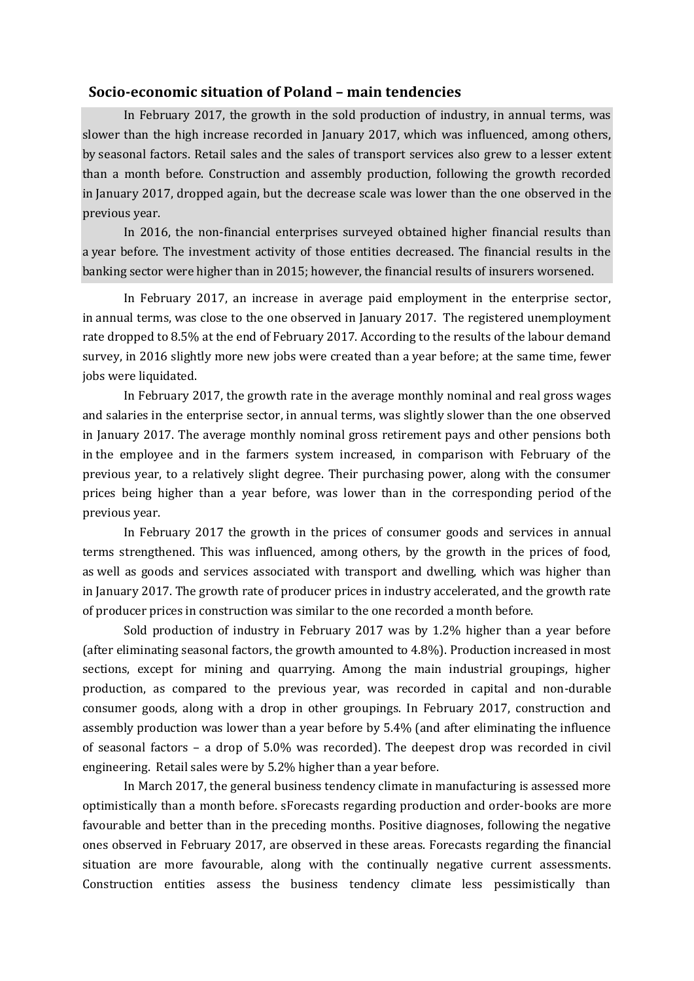## **Socio-economic situation of Poland – main tendencies**

In February 2017, the growth in the sold production of industry, in annual terms, was slower than the high increase recorded in January 2017, which was influenced, among others, by seasonal factors. Retail sales and the sales of transport services also grew to a lesser extent than a month before. Construction and assembly production, following the growth recorded in January 2017, dropped again, but the decrease scale was lower than the one observed in the previous year.

In 2016, the non-financial enterprises surveyed obtained higher financial results than a year before. The investment activity of those entities decreased. The financial results in the banking sector were higher than in 2015; however, the financial results of insurers worsened.

In February 2017, an increase in average paid employment in the enterprise sector, in annual terms, was close to the one observed in January 2017. The registered unemployment rate dropped to 8.5% at the end of February 2017. According to the results of the labour demand survey, in 2016 slightly more new jobs were created than a year before; at the same time, fewer jobs were liquidated.

In February 2017, the growth rate in the average monthly nominal and real gross wages and salaries in the enterprise sector, in annual terms, was slightly slower than the one observed in January 2017. The average monthly nominal gross retirement pays and other pensions both in the employee and in the farmers system increased, in comparison with February of the previous year, to a relatively slight degree. Their purchasing power, along with the consumer prices being higher than a year before, was lower than in the corresponding period of the previous year.

In February 2017 the growth in the prices of consumer goods and services in annual terms strengthened. This was influenced, among others, by the growth in the prices of food, as well as goods and services associated with transport and dwelling, which was higher than in January 2017. The growth rate of producer prices in industry accelerated, and the growth rate of producer prices in construction was similar to the one recorded a month before.

Sold production of industry in February 2017 was by 1.2% higher than a year before (after eliminating seasonal factors, the growth amounted to 4.8%). Production increased in most sections, except for mining and quarrying. Among the main industrial groupings, higher production, as compared to the previous year, was recorded in capital and non-durable consumer goods, along with a drop in other groupings. In February 2017, construction and assembly production was lower than a year before by 5.4% (and after eliminating the influence of seasonal factors – a drop of 5.0% was recorded). The deepest drop was recorded in civil engineering. Retail sales were by 5.2% higher than a year before.

In March 2017, the general business tendency climate in manufacturing is assessed more optimistically than a month before. sForecasts regarding production and order-books are more favourable and better than in the preceding months. Positive diagnoses, following the negative ones observed in February 2017, are observed in these areas. Forecasts regarding the financial situation are more favourable, along with the continually negative current assessments. Construction entities assess the business tendency climate less pessimistically than